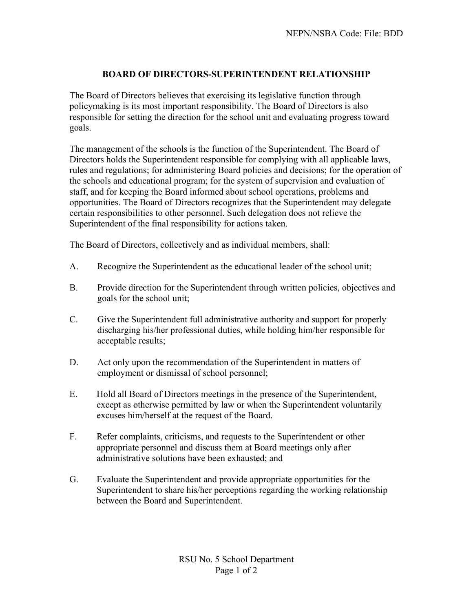## **BOARD OF DIRECTORS-SUPERINTENDENT RELATIONSHIP**

The Board of Directors believes that exercising its legislative function through policymaking is its most important responsibility. The Board of Directors is also responsible for setting the direction for the school unit and evaluating progress toward goals.

The management of the schools is the function of the Superintendent. The Board of Directors holds the Superintendent responsible for complying with all applicable laws, rules and regulations; for administering Board policies and decisions; for the operation of the schools and educational program; for the system of supervision and evaluation of staff, and for keeping the Board informed about school operations, problems and opportunities. The Board of Directors recognizes that the Superintendent may delegate certain responsibilities to other personnel. Such delegation does not relieve the Superintendent of the final responsibility for actions taken.

The Board of Directors, collectively and as individual members, shall:

- A. Recognize the Superintendent as the educational leader of the school unit;
- B. Provide direction for the Superintendent through written policies, objectives and goals for the school unit;
- C. Give the Superintendent full administrative authority and support for properly discharging his/her professional duties, while holding him/her responsible for acceptable results;
- D. Act only upon the recommendation of the Superintendent in matters of employment or dismissal of school personnel;
- E. Hold all Board of Directors meetings in the presence of the Superintendent, except as otherwise permitted by law or when the Superintendent voluntarily excuses him/herself at the request of the Board.
- F. Refer complaints, criticisms, and requests to the Superintendent or other appropriate personnel and discuss them at Board meetings only after administrative solutions have been exhausted; and
- G. Evaluate the Superintendent and provide appropriate opportunities for the Superintendent to share his/her perceptions regarding the working relationship between the Board and Superintendent.